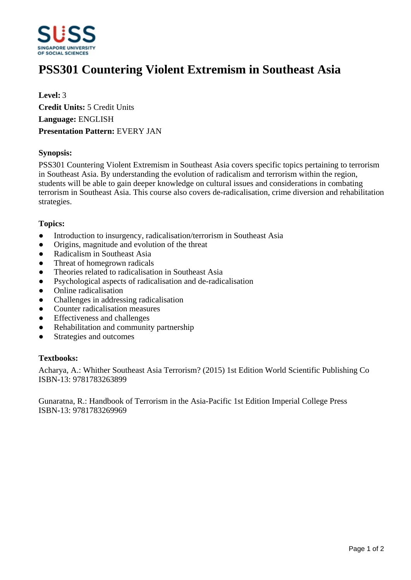

# **PSS301 Countering Violent Extremism in Southeast Asia**

**Level:** 3 **Credit Units:** 5 Credit Units **Language:** ENGLISH **Presentation Pattern:** EVERY JAN

## **Synopsis:**

PSS301 Countering Violent Extremism in Southeast Asia covers specific topics pertaining to terrorism in Southeast Asia. By understanding the evolution of radicalism and terrorism within the region, students will be able to gain deeper knowledge on cultural issues and considerations in combating terrorism in Southeast Asia. This course also covers de-radicalisation, crime diversion and rehabilitation strategies.

## **Topics:**

- Introduction to insurgency, radicalisation/terrorism in Southeast Asia
- Origins, magnitude and evolution of the threat
- Radicalism in Southeast Asia
- Threat of homegrown radicals
- ƔTheories related to radicalisation in Southeast Asia
- Psychological aspects of radicalisation and de-radicalisation
- Online radicalisation
- Challenges in addressing radicalisation
- ƔCounter radicalisation measures
- Effectiveness and challenges
- Rehabilitation and community partnership
- Strategies and outcomes

#### **Textbooks:**

Acharya, A.: Whither Southeast Asia Terrorism? (2015) 1st Edition World Scientific Publishing Co ISBN-13: 9781783263899

Gunaratna, R.: Handbook of Terrorism in the Asia-Pacific 1st Edition Imperial College Press ISBN-13: 9781783269969